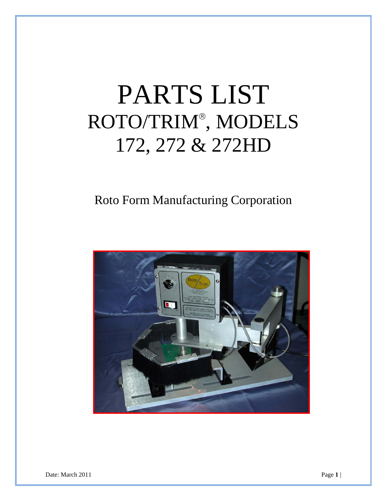## PARTS LIST ROTO/TRIM , MODELS 172, 272 & 272HD

## Roto Form Manufacturing Corporation



Date: March 2011 **Page 1** |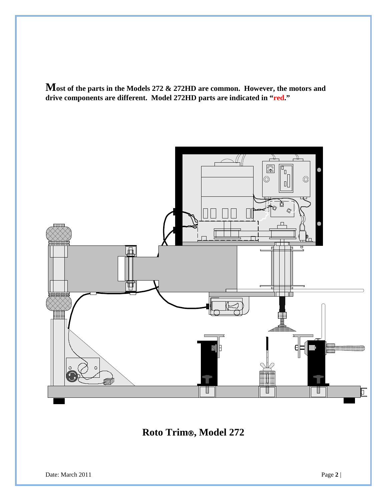**Most of the parts in the Models 272 & 272HD are common. However, the motors and drive components are different. Model 272HD parts are indicated in "red."**



**Roto Trim, Model 272**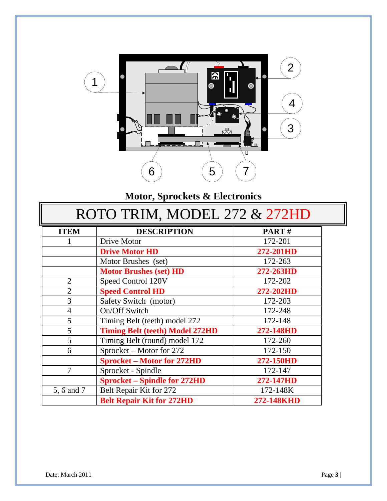

## **Motor, Sprockets & Electronics**

| ROTO TRIM, MODEL 272 & 272HD |                                        |            |  |  |
|------------------------------|----------------------------------------|------------|--|--|
| <b>ITEM</b>                  | <b>DESCRIPTION</b>                     | PART#      |  |  |
|                              | Drive Motor                            | 172-201    |  |  |
|                              | <b>Drive Motor HD</b>                  | 272-201HD  |  |  |
|                              | Motor Brushes (set)                    | 172-263    |  |  |
|                              | <b>Motor Brushes (set) HD</b>          | 272-263HD  |  |  |
| $\overline{2}$               | Speed Control 120V                     | 172-202    |  |  |
| $\overline{2}$               | <b>Speed Control HD</b>                | 272-202HD  |  |  |
| 3                            | Safety Switch (motor)                  | 172-203    |  |  |
| $\overline{4}$               | On/Off Switch                          | 172-248    |  |  |
| 5                            | Timing Belt (teeth) model 272          | 172-148    |  |  |
| 5                            | <b>Timing Belt (teeth) Model 272HD</b> | 272-148HD  |  |  |
| 5                            | Timing Belt (round) model 172          | 172-260    |  |  |
| 6                            | Sprocket – Motor for 272               | 172-150    |  |  |
|                              | <b>Sprocket - Motor for 272HD</b>      | 272-150HD  |  |  |
| 7                            | Sprocket - Spindle                     | 172-147    |  |  |
|                              | <b>Sprocket – Spindle for 272HD</b>    | 272-147HD  |  |  |
| 5, 6 and 7                   | Belt Repair Kit for 272                | 172-148K   |  |  |
|                              | <b>Belt Repair Kit for 272HD</b>       | 272-148KHD |  |  |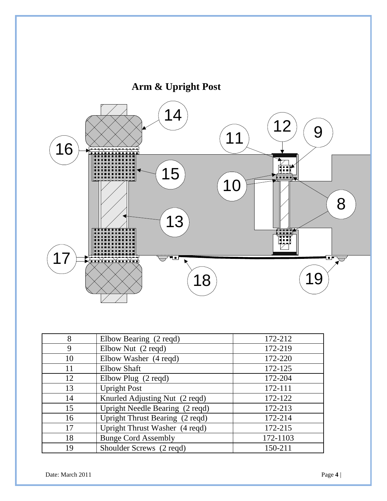

| 8  | Elbow Bearing (2 reqd)          | 172-212  |
|----|---------------------------------|----------|
| 9  | Elbow Nut (2 reqd)              | 172-219  |
| 10 | Elbow Washer (4 reqd)           | 172-220  |
| 11 | <b>Elbow Shaft</b>              | 172-125  |
| 12 | Elbow Plug (2 reqd)             | 172-204  |
| 13 | <b>Upright Post</b>             | 172-111  |
| 14 | Knurled Adjusting Nut (2 reqd)  | 172-122  |
| 15 | Upright Needle Bearing (2 reqd) | 172-213  |
| 16 | Upright Thrust Bearing (2 reqd) | 172-214  |
| 17 | Upright Thrust Washer (4 reqd)  | 172-215  |
| 18 | <b>Bunge Cord Assembly</b>      | 172-1103 |
| 19 | Shoulder Screws (2 regd)        | 150-211  |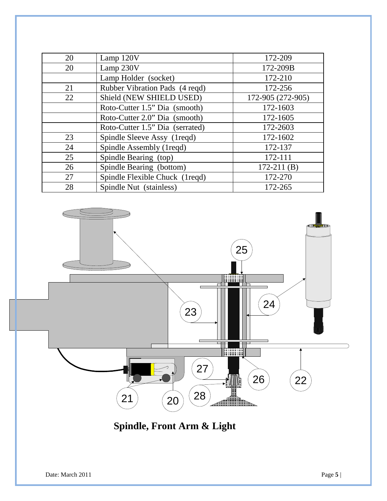| 20 | Lamp 120V                       | 172-209           |
|----|---------------------------------|-------------------|
| 20 | Lamp 230V                       | 172-209B          |
|    | Lamp Holder (socket)            | 172-210           |
| 21 | Rubber Vibration Pads (4 reqd)  | 172-256           |
| 22 | Shield (NEW SHIELD USED)        | 172-905 (272-905) |
|    | Roto-Cutter 1.5" Dia (smooth)   | 172-1603          |
|    | Roto-Cutter 2.0" Dia (smooth)   | 172-1605          |
|    | Roto-Cutter 1.5" Dia (serrated) | 172-2603          |
| 23 | Spindle Sleeve Assy (1reqd)     | 172-1602          |
| 24 | Spindle Assembly (1reqd)        | 172-137           |
| 25 | Spindle Bearing (top)           | 172-111           |
| 26 | Spindle Bearing (bottom)        | $172 - 211$ (B)   |
| 27 | Spindle Flexible Chuck (1reqd)  | 172-270           |
| 28 | Spindle Nut (stainless)         | 172-265           |



**Spindle, Front Arm & Light**